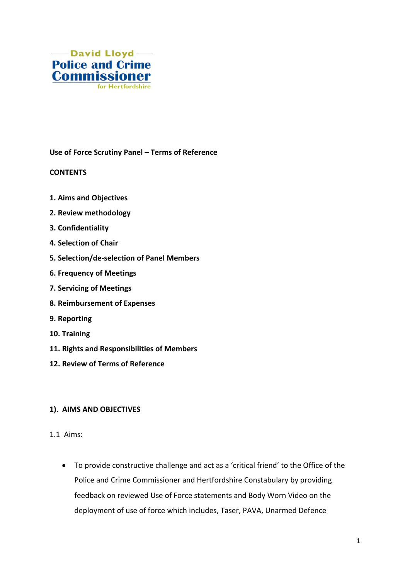

**Use of Force Scrutiny Panel – Terms of Reference**

### **CONTENTS**

- **1. Aims and Objectives**
- **2. Review methodology**
- **3. Confidentiality**
- **4. Selection of Chair**
- **5. Selection/de-selection of Panel Members**
- **6. Frequency of Meetings**
- **7. Servicing of Meetings**
- **8. Reimbursement of Expenses**
- **9. Reporting**
- **10. Training**
- **11. Rights and Responsibilities of Members**
- **12. Review of Terms of Reference**

### **1). AIMS AND OBJECTIVES**

- 1.1 Aims:
	- To provide constructive challenge and act as a 'critical friend' to the Office of the Police and Crime Commissioner and Hertfordshire Constabulary by providing feedback on reviewed Use of Force statements and Body Worn Video on the deployment of use of force which includes, Taser, PAVA, Unarmed Defence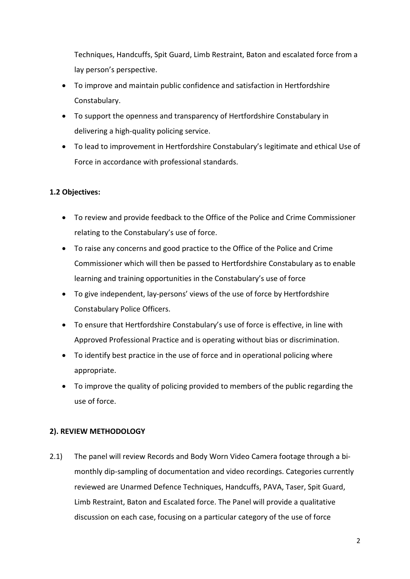Techniques, Handcuffs, Spit Guard, Limb Restraint, Baton and escalated force from a lay person's perspective.

- To improve and maintain public confidence and satisfaction in Hertfordshire Constabulary.
- To support the openness and transparency of Hertfordshire Constabulary in delivering a high-quality policing service.
- To lead to improvement in Hertfordshire Constabulary's legitimate and ethical Use of Force in accordance with professional standards.

# **1.2 Objectives:**

- To review and provide feedback to the Office of the Police and Crime Commissioner relating to the Constabulary's use of force.
- To raise any concerns and good practice to the Office of the Police and Crime Commissioner which will then be passed to Hertfordshire Constabulary as to enable learning and training opportunities in the Constabulary's use of force
- To give independent, lay-persons' views of the use of force by Hertfordshire Constabulary Police Officers.
- To ensure that Hertfordshire Constabulary's use of force is effective, in line with Approved Professional Practice and is operating without bias or discrimination.
- To identify best practice in the use of force and in operational policing where appropriate.
- To improve the quality of policing provided to members of the public regarding the use of force.

## **2). REVIEW METHODOLOGY**

2.1) The panel will review Records and Body Worn Video Camera footage through a bimonthly dip-sampling of documentation and video recordings. Categories currently reviewed are Unarmed Defence Techniques, Handcuffs, PAVA, Taser, Spit Guard, Limb Restraint, Baton and Escalated force. The Panel will provide a qualitative discussion on each case, focusing on a particular category of the use of force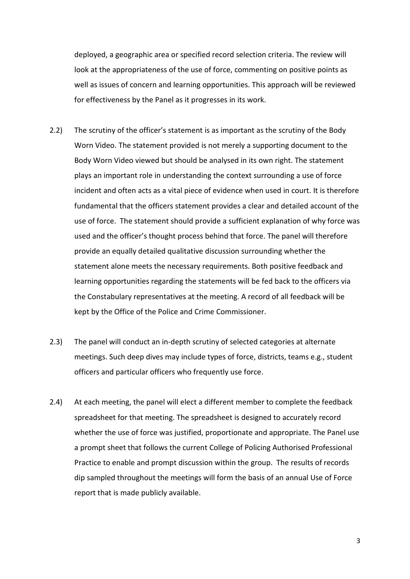deployed, a geographic area or specified record selection criteria. The review will look at the appropriateness of the use of force, commenting on positive points as well as issues of concern and learning opportunities. This approach will be reviewed for effectiveness by the Panel as it progresses in its work.

- 2.2) The scrutiny of the officer's statement is as important as the scrutiny of the Body Worn Video. The statement provided is not merely a supporting document to the Body Worn Video viewed but should be analysed in its own right. The statement plays an important role in understanding the context surrounding a use of force incident and often acts as a vital piece of evidence when used in court. It is therefore fundamental that the officers statement provides a clear and detailed account of the use of force. The statement should provide a sufficient explanation of why force was used and the officer's thought process behind that force. The panel will therefore provide an equally detailed qualitative discussion surrounding whether the statement alone meets the necessary requirements. Both positive feedback and learning opportunities regarding the statements will be fed back to the officers via the Constabulary representatives at the meeting. A record of all feedback will be kept by the Office of the Police and Crime Commissioner.
- 2.3) The panel will conduct an in-depth scrutiny of selected categories at alternate meetings. Such deep dives may include types of force, districts, teams e.g., student officers and particular officers who frequently use force.
- 2.4) At each meeting, the panel will elect a different member to complete the feedback spreadsheet for that meeting. The spreadsheet is designed to accurately record whether the use of force was justified, proportionate and appropriate. The Panel use a prompt sheet that follows the current College of Policing Authorised Professional Practice to enable and prompt discussion within the group. The results of records dip sampled throughout the meetings will form the basis of an annual Use of Force report that is made publicly available.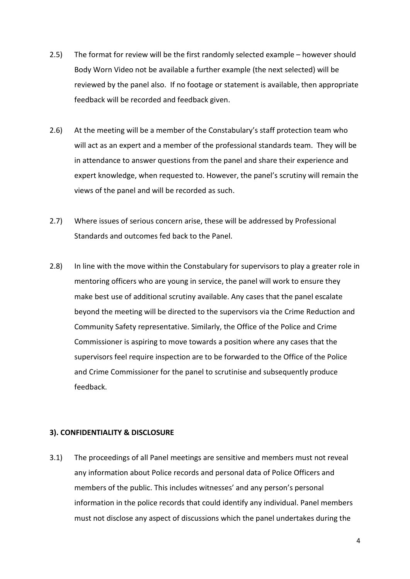- 2.5) The format for review will be the first randomly selected example however should Body Worn Video not be available a further example (the next selected) will be reviewed by the panel also. If no footage or statement is available, then appropriate feedback will be recorded and feedback given.
- 2.6) At the meeting will be a member of the Constabulary's staff protection team who will act as an expert and a member of the professional standards team. They will be in attendance to answer questions from the panel and share their experience and expert knowledge, when requested to. However, the panel's scrutiny will remain the views of the panel and will be recorded as such.
- 2.7) Where issues of serious concern arise, these will be addressed by Professional Standards and outcomes fed back to the Panel.
- 2.8) In line with the move within the Constabulary for supervisors to play a greater role in mentoring officers who are young in service, the panel will work to ensure they make best use of additional scrutiny available. Any cases that the panel escalate beyond the meeting will be directed to the supervisors via the Crime Reduction and Community Safety representative. Similarly, the Office of the Police and Crime Commissioner is aspiring to move towards a position where any cases that the supervisors feel require inspection are to be forwarded to the Office of the Police and Crime Commissioner for the panel to scrutinise and subsequently produce feedback.

#### **3). CONFIDENTIALITY & DISCLOSURE**

3.1) The proceedings of all Panel meetings are sensitive and members must not reveal any information about Police records and personal data of Police Officers and members of the public. This includes witnesses' and any person's personal information in the police records that could identify any individual. Panel members must not disclose any aspect of discussions which the panel undertakes during the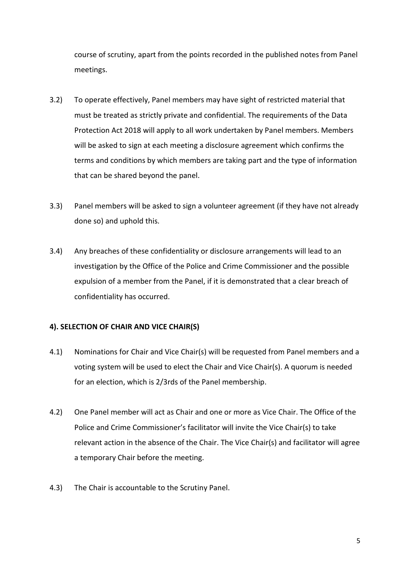course of scrutiny, apart from the points recorded in the published notes from Panel meetings.

- 3.2) To operate effectively, Panel members may have sight of restricted material that must be treated as strictly private and confidential. The requirements of the Data Protection Act 2018 will apply to all work undertaken by Panel members. Members will be asked to sign at each meeting a disclosure agreement which confirms the terms and conditions by which members are taking part and the type of information that can be shared beyond the panel.
- 3.3) Panel members will be asked to sign a volunteer agreement (if they have not already done so) and uphold this.
- 3.4) Any breaches of these confidentiality or disclosure arrangements will lead to an investigation by the Office of the Police and Crime Commissioner and the possible expulsion of a member from the Panel, if it is demonstrated that a clear breach of confidentiality has occurred.

### **4). SELECTION OF CHAIR AND VICE CHAIR(S)**

- 4.1) Nominations for Chair and Vice Chair(s) will be requested from Panel members and a voting system will be used to elect the Chair and Vice Chair(s). A quorum is needed for an election, which is 2/3rds of the Panel membership.
- 4.2) One Panel member will act as Chair and one or more as Vice Chair. The Office of the Police and Crime Commissioner's facilitator will invite the Vice Chair(s) to take relevant action in the absence of the Chair. The Vice Chair(s) and facilitator will agree a temporary Chair before the meeting.
- 4.3) The Chair is accountable to the Scrutiny Panel.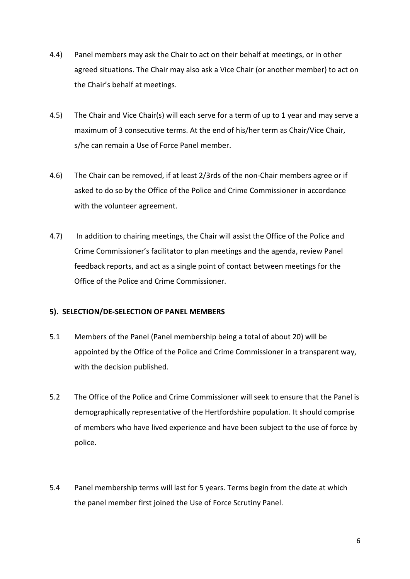- 4.4) Panel members may ask the Chair to act on their behalf at meetings, or in other agreed situations. The Chair may also ask a Vice Chair (or another member) to act on the Chair's behalf at meetings.
- 4.5) The Chair and Vice Chair(s) will each serve for a term of up to 1 year and may serve a maximum of 3 consecutive terms. At the end of his/her term as Chair/Vice Chair, s/he can remain a Use of Force Panel member.
- 4.6) The Chair can be removed, if at least 2/3rds of the non-Chair members agree or if asked to do so by the Office of the Police and Crime Commissioner in accordance with the volunteer agreement.
- 4.7) In addition to chairing meetings, the Chair will assist the Office of the Police and Crime Commissioner's facilitator to plan meetings and the agenda, review Panel feedback reports, and act as a single point of contact between meetings for the Office of the Police and Crime Commissioner.

## **5). SELECTION/DE-SELECTION OF PANEL MEMBERS**

- 5.1 Members of the Panel (Panel membership being a total of about 20) will be appointed by the Office of the Police and Crime Commissioner in a transparent way, with the decision published.
- 5.2 The Office of the Police and Crime Commissioner will seek to ensure that the Panel is demographically representative of the Hertfordshire population. It should comprise of members who have lived experience and have been subject to the use of force by police.
- 5.4 Panel membership terms will last for 5 years. Terms begin from the date at which the panel member first joined the Use of Force Scrutiny Panel.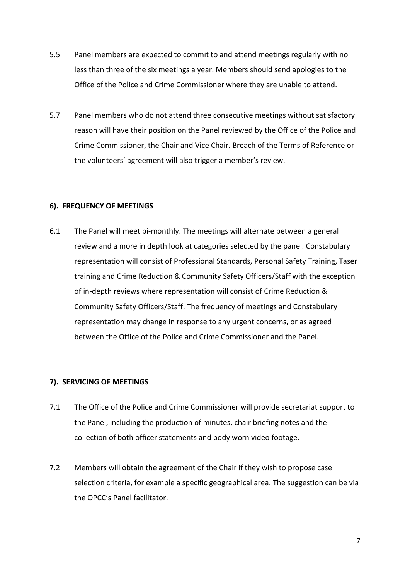- 5.5 Panel members are expected to commit to and attend meetings regularly with no less than three of the six meetings a year. Members should send apologies to the Office of the Police and Crime Commissioner where they are unable to attend.
- 5.7 Panel members who do not attend three consecutive meetings without satisfactory reason will have their position on the Panel reviewed by the Office of the Police and Crime Commissioner, the Chair and Vice Chair. Breach of the Terms of Reference or the volunteers' agreement will also trigger a member's review.

### **6). FREQUENCY OF MEETINGS**

6.1 The Panel will meet bi-monthly. The meetings will alternate between a general review and a more in depth look at categories selected by the panel. Constabulary representation will consist of Professional Standards, Personal Safety Training, Taser training and Crime Reduction & Community Safety Officers/Staff with the exception of in-depth reviews where representation will consist of Crime Reduction & Community Safety Officers/Staff. The frequency of meetings and Constabulary representation may change in response to any urgent concerns, or as agreed between the Office of the Police and Crime Commissioner and the Panel.

### **7). SERVICING OF MEETINGS**

- 7.1 The Office of the Police and Crime Commissioner will provide secretariat support to the Panel, including the production of minutes, chair briefing notes and the collection of both officer statements and body worn video footage.
- 7.2 Members will obtain the agreement of the Chair if they wish to propose case selection criteria, for example a specific geographical area. The suggestion can be via the OPCC's Panel facilitator.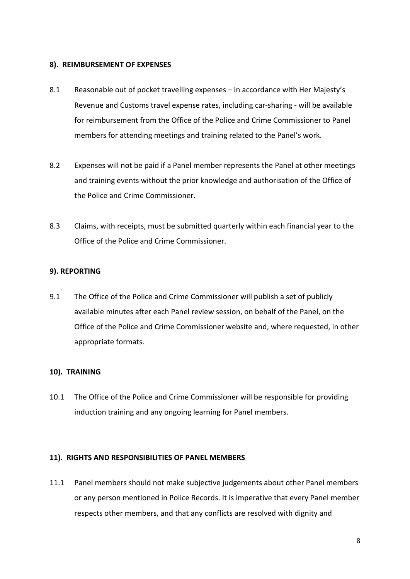#### **8). REIMBURSEMENT OF EXPENSES**

- 8.1 Reasonable out of pocket travelling expenses in accordance with Her Majesty's Revenue and Customs travel expense rates, including car-sharing - will be available for reimbursement from the Office of the Police and Crime Commissioner to Panel members for attending meetings and training related to the Panel's work.
- 8.2 Expenses will not be paid if a Panel member represents the Panel at other meetings and training events without the prior knowledge and authorisation of the Office of the Police and Crime Commissioner.
- 8.3 Claims, with receipts, must be submitted quarterly within each financial year to the Office of the Police and Crime Commissioner.

### **9). REPORTING**

9.1 The Office of the Police and Crime Commissioner will publish a set of publicly available minutes after each Panel review session, on behalf of the Panel, on the Office of the Police and Crime Commissioner website and, where requested, in other appropriate formats.

### **10). TRAINING**

10.1 The Office of the Police and Crime Commissioner will be responsible for providing induction training and any ongoing learning for Panel members.

### **11). RIGHTS AND RESPONSIBILITIES OF PANEL MEMBERS**

11.1 Panel members should not make subjective judgements about other Panel members or any person mentioned in Police Records. It is imperative that every Panel member respects other members, and that any conflicts are resolved with dignity and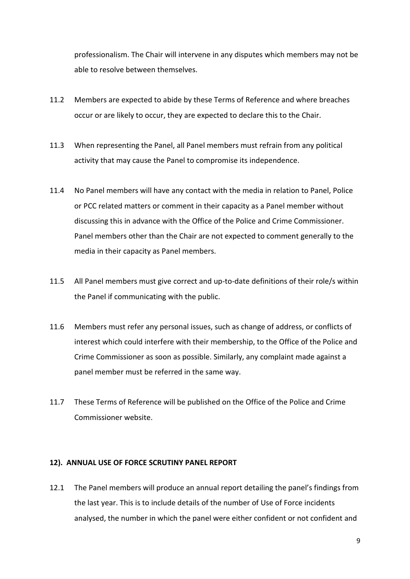professionalism. The Chair will intervene in any disputes which members may not be able to resolve between themselves.

- 11.2 Members are expected to abide by these Terms of Reference and where breaches occur or are likely to occur, they are expected to declare this to the Chair.
- 11.3 When representing the Panel, all Panel members must refrain from any political activity that may cause the Panel to compromise its independence.
- 11.4 No Panel members will have any contact with the media in relation to Panel, Police or PCC related matters or comment in their capacity as a Panel member without discussing this in advance with the Office of the Police and Crime Commissioner. Panel members other than the Chair are not expected to comment generally to the media in their capacity as Panel members.
- 11.5 All Panel members must give correct and up-to-date definitions of their role/s within the Panel if communicating with the public.
- 11.6 Members must refer any personal issues, such as change of address, or conflicts of interest which could interfere with their membership, to the Office of the Police and Crime Commissioner as soon as possible. Similarly, any complaint made against a panel member must be referred in the same way.
- 11.7 These Terms of Reference will be published on the Office of the Police and Crime Commissioner website.

### **12). ANNUAL USE OF FORCE SCRUTINY PANEL REPORT**

12.1 The Panel members will produce an annual report detailing the panel's findings from the last year. This is to include details of the number of Use of Force incidents analysed, the number in which the panel were either confident or not confident and